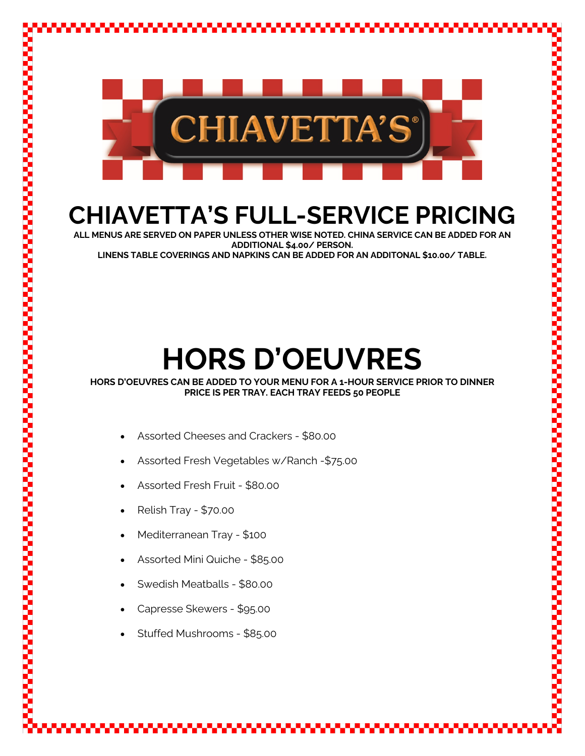

## **CHIAVETTA'S FULL-SERVICE PRICING**

**ALL MENUS ARE SERVED ON PAPER UNLESS OTHER WISE NOTED. CHINA SERVICE CAN BE ADDED FOR AN ADDITIONAL \$4.00/ PERSON. LINENS TABLE COVERINGS AND NAPKINS CAN BE ADDED FOR AN ADDITONAL \$10.00/ TABLE.**

# **HORS D'OEUVRES**

**HORS D'OEUVRES CAN BE ADDED TO YOUR MENU FOR A 1-HOUR SERVICE PRIOR TO DINNER PRICE IS PER TRAY. EACH TRAY FEEDS 50 PEOPLE**

- Assorted Cheeses and Crackers \$80.00
- Assorted Fresh Vegetables w/Ranch -\$75.00
- Assorted Fresh Fruit \$80.00
- Relish Tray \$70.00
- Mediterranean Tray \$100
- Assorted Mini Quiche \$85.00
- Swedish Meatballs \$80.00
- Capresse Skewers \$95.00
- Stuffed Mushrooms \$85.00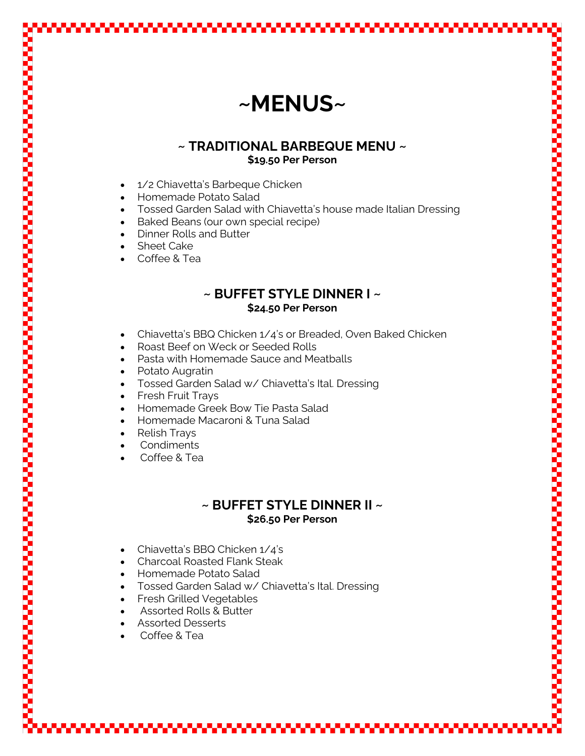### **~MENUS~**

#### **~ TRADITIONAL BARBEQUE MENU ~ \$19.50 Per Person**

- 1/2 Chiavetta's Barbeque Chicken
- Homemade Potato Salad
- Tossed Garden Salad with Chiavetta's house made Italian Dressing
- Baked Beans (our own special recipe)
- Dinner Rolls and Butter
- **Sheet Cake**
- Coffee & Tea

#### **~ BUFFET STYLE DINNER I ~ \$24.50 Per Person**

- Chiavetta's BBQ Chicken 1/4's or Breaded, Oven Baked Chicken
- Roast Beef on Weck or Seeded Rolls
- Pasta with Homemade Sauce and Meatballs
- Potato Augratin
- Tossed Garden Salad w/ Chiavetta's Ital. Dressing
- Fresh Fruit Trays
- Homemade Greek Bow Tie Pasta Salad
- Homemade Macaroni & Tuna Salad
- Relish Trays
- Condiments
- Coffee & Tea

#### **~ BUFFET STYLE DINNER II ~ \$26.50 Per Person**

- Chiavetta's BBQ Chicken 1/4's
- Charcoal Roasted Flank Steak
- Homemade Potato Salad
- Tossed Garden Salad w/ Chiavetta's Ital. Dressing
- Fresh Grilled Vegetables
- Assorted Rolls & Butter
- Assorted Desserts
- Coffee & Tea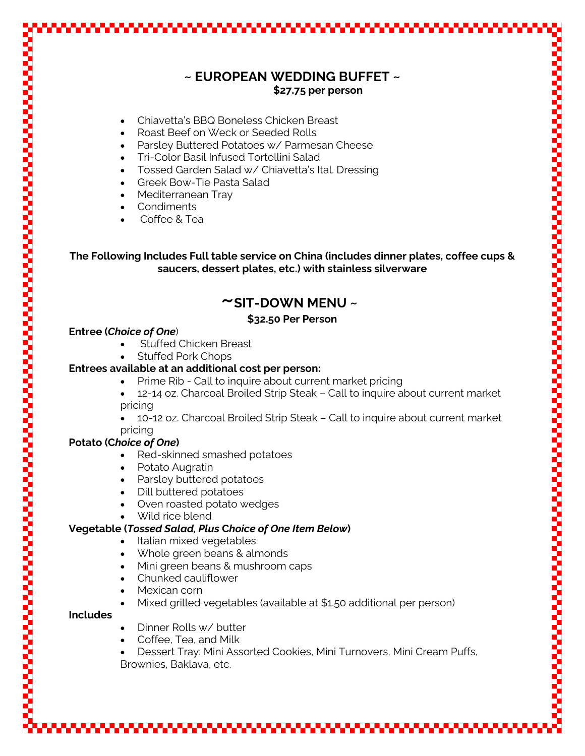|                 | $\sim$ EUROPEAN WEDDING BUFFET $\sim$                                                                                                                 |
|-----------------|-------------------------------------------------------------------------------------------------------------------------------------------------------|
|                 | \$27.75 per person                                                                                                                                    |
|                 | Chiavetta's BBQ Boneless Chicken Breast                                                                                                               |
|                 | Roast Beef on Weck or Seeded Rolls                                                                                                                    |
|                 | Parsley Buttered Potatoes w/ Parmesan Cheese                                                                                                          |
|                 | Tri-Color Basil Infused Tortellini Salad                                                                                                              |
|                 | Tossed Garden Salad w/ Chiavetta's Ital. Dressing<br>Greek Bow-Tie Pasta Salad<br>$\bullet$                                                           |
|                 | Mediterranean Tray<br>$\bullet$                                                                                                                       |
|                 | Condiments                                                                                                                                            |
|                 | Coffee & Tea                                                                                                                                          |
|                 |                                                                                                                                                       |
|                 | The Following Includes Full table service on China (includes dinner plates, coffee cups &<br>saucers, dessert plates, etc.) with stainless silverware |
|                 | $\sim$ SIT-DOWN MENU $\sim$                                                                                                                           |
|                 | \$32.50 Per Person                                                                                                                                    |
|                 | <b>Entree (Choice of One)</b>                                                                                                                         |
|                 | <b>Stuffed Chicken Breast</b>                                                                                                                         |
|                 | <b>Stuffed Pork Chops</b>                                                                                                                             |
|                 | Entrees available at an additional cost per person:                                                                                                   |
|                 | Prime Rib - Call to inquire about current market pricing<br>12-14 oz. Charcoal Broiled Strip Steak - Call to inquire about current market             |
|                 | pricing                                                                                                                                               |
|                 | 10-12 oz. Charcoal Broiled Strip Steak - Call to inquire about current market                                                                         |
|                 | pricing                                                                                                                                               |
|                 | <b>Potato (Choice of One)</b>                                                                                                                         |
|                 | Red-skinned smashed potatoes<br>Potato Augratin                                                                                                       |
|                 | Parsley buttered potatoes                                                                                                                             |
|                 | Dill buttered potatoes                                                                                                                                |
|                 | Oven roasted potato wedges                                                                                                                            |
|                 | Wild rice blend                                                                                                                                       |
|                 | <b>Vegetable (Tossed Salad, Plus Choice of One Item Below)</b>                                                                                        |
|                 | Italian mixed vegetables<br>Whole green beans & almonds                                                                                               |
|                 | Mini green beans & mushroom caps<br>$\bullet$                                                                                                         |
|                 | Chunked cauliflower<br>$\bullet$                                                                                                                      |
|                 | Mexican corn                                                                                                                                          |
|                 |                                                                                                                                                       |
|                 | Mixed grilled vegetables (available at \$1.50 additional per person)                                                                                  |
| <b>Includes</b> |                                                                                                                                                       |
|                 | Dinner Rolls w/ butter                                                                                                                                |
|                 | Coffee, Tea, and Milk<br>Dessert Tray: Mini Assorted Cookies, Mini Turnovers, Mini Cream Puffs,                                                       |

₩

. . . . . . .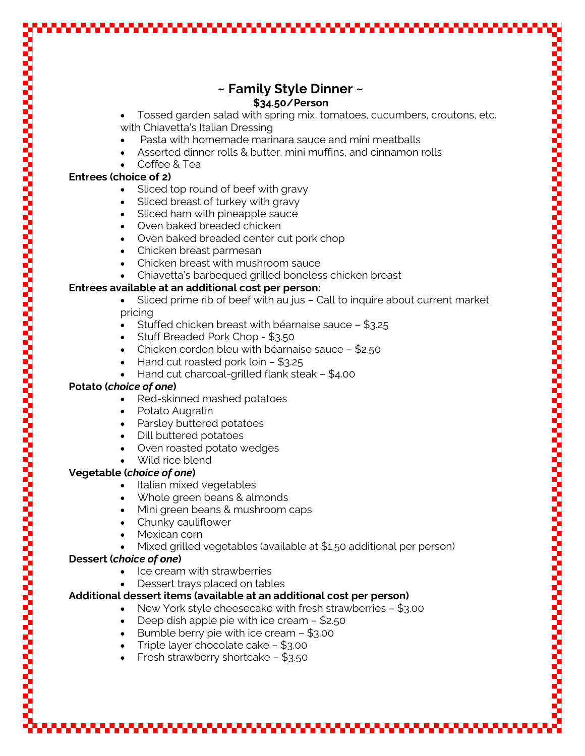### **~ Family Style Dinner ~ \$34.50/Person**

• Tossed garden salad with spring mix, tomatoes, cucumbers, croutons, etc. with Chiavetta's Italian Dressing

- Pasta with homemade marinara sauce and mini meatballs
- Assorted dinner rolls & butter, mini muffins, and cinnamon rolls
- Coffee & Tea

#### **Entrees (choice of 2)**

- Sliced top round of beef with gravy
- Sliced breast of turkey with gravy
- Sliced ham with pineapple sauce
- Oven baked breaded chicken
- Oven baked breaded center cut pork chop
- Chicken breast parmesan
- Chicken breast with mushroom sauce
- Chiavetta's barbequed grilled boneless chicken breast

#### **Entrees available at an additional cost per person:**

- Sliced prime rib of beef with au jus Call to inquire about current market pricing
- Stuffed chicken breast with béarnaise sauce \$3.25
- Stuff Breaded Pork Chop \$3.50
- Chicken cordon bleu with béarnaise sauce \$2.50
- Hand cut roasted pork loin \$3.25
- Hand cut charcoal-grilled flank steak \$4.00

#### **Potato (***choice of one***)**

- Red-skinned mashed potatoes
- Potato Augratin
- Parsley buttered potatoes
- Dill buttered potatoes
- Oven roasted potato wedges
- Wild rice blend

#### **Vegetable (***choice of one***)**

- Italian mixed vegetables
- Whole green beans & almonds
- Mini green beans & mushroom caps
- Chunky cauliflower
- Mexican corn
- Mixed grilled vegetables (available at \$1.50 additional per person)

#### **Dessert (***choice of one***)**

- Ice cream with strawberries
- Dessert trays placed on tables

#### **Additional dessert items (available at an additional cost per person)**

- New York style cheesecake with fresh strawberries \$3.00
- Deep dish apple pie with ice cream \$2.50
- Bumble berry pie with ice cream \$3.00
- Triple layer chocolate cake \$3.00
- Fresh strawberry shortcake \$3.50